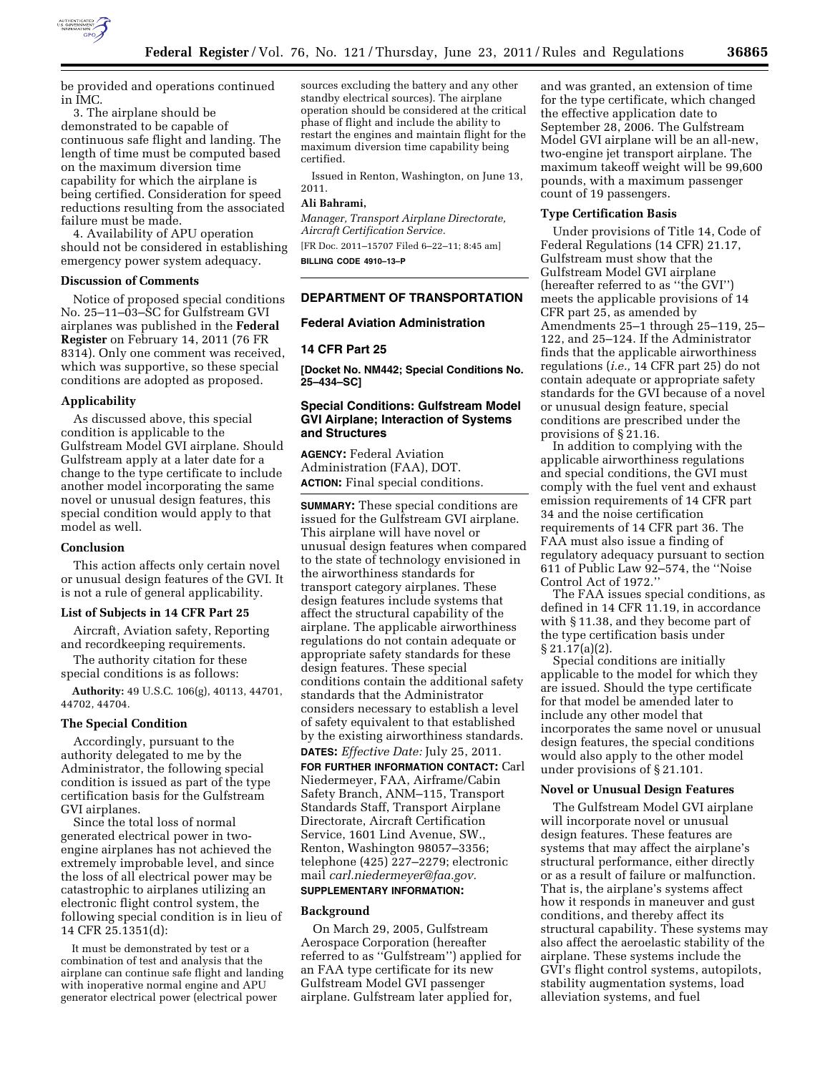

be provided and operations continued in IMC.

3. The airplane should be demonstrated to be capable of continuous safe flight and landing. The length of time must be computed based on the maximum diversion time capability for which the airplane is being certified. Consideration for speed reductions resulting from the associated failure must be made.

4. Availability of APU operation should not be considered in establishing emergency power system adequacy.

## **Discussion of Comments**

Notice of proposed special conditions No. 25–11–03–SC for Gulfstream GVI airplanes was published in the **Federal Register** on February 14, 2011 (76 FR 8314). Only one comment was received, which was supportive, so these special conditions are adopted as proposed.

### **Applicability**

As discussed above, this special condition is applicable to the Gulfstream Model GVI airplane. Should Gulfstream apply at a later date for a change to the type certificate to include another model incorporating the same novel or unusual design features, this special condition would apply to that model as well.

### **Conclusion**

This action affects only certain novel or unusual design features of the GVI. It is not a rule of general applicability.

#### **List of Subjects in 14 CFR Part 25**

Aircraft, Aviation safety, Reporting and recordkeeping requirements.

The authority citation for these special conditions is as follows:

**Authority:** 49 U.S.C. 106(g), 40113, 44701, 44702, 44704.

### **The Special Condition**

Accordingly, pursuant to the authority delegated to me by the Administrator, the following special condition is issued as part of the type certification basis for the Gulfstream GVI airplanes.

Since the total loss of normal generated electrical power in twoengine airplanes has not achieved the extremely improbable level, and since the loss of all electrical power may be catastrophic to airplanes utilizing an electronic flight control system, the following special condition is in lieu of 14 CFR 25.1351(d):

It must be demonstrated by test or a combination of test and analysis that the airplane can continue safe flight and landing with inoperative normal engine and APU generator electrical power (electrical power

sources excluding the battery and any other standby electrical sources). The airplane operation should be considered at the critical phase of flight and include the ability to restart the engines and maintain flight for the maximum diversion time capability being certified.

Issued in Renton, Washington, on June 13, 2011.

## **Ali Bahrami,**

*Manager, Transport Airplane Directorate, Aircraft Certification Service.*  [FR Doc. 2011–15707 Filed 6–22–11; 8:45 am]

**BILLING CODE 4910–13–P** 

# **DEPARTMENT OF TRANSPORTATION**

## **Federal Aviation Administration**

#### **14 CFR Part 25**

**[Docket No. NM442; Special Conditions No. 25–434–SC]** 

## **Special Conditions: Gulfstream Model GVI Airplane; Interaction of Systems and Structures**

**AGENCY:** Federal Aviation Administration (FAA), DOT. **ACTION:** Final special conditions.

**SUMMARY:** These special conditions are issued for the Gulfstream GVI airplane. This airplane will have novel or unusual design features when compared to the state of technology envisioned in the airworthiness standards for transport category airplanes. These design features include systems that affect the structural capability of the airplane. The applicable airworthiness regulations do not contain adequate or appropriate safety standards for these design features. These special conditions contain the additional safety standards that the Administrator considers necessary to establish a level of safety equivalent to that established by the existing airworthiness standards. **DATES:** *Effective Date:* July 25, 2011.

**FOR FURTHER INFORMATION CONTACT:** Carl Niedermeyer, FAA, Airframe/Cabin Safety Branch, ANM–115, Transport Standards Staff, Transport Airplane Directorate, Aircraft Certification Service, 1601 Lind Avenue, SW., Renton, Washington 98057–3356; telephone (425) 227–2279; electronic mail *[carl.niedermeyer@faa.gov.](mailto:carl.niedermeyer@faa.gov)* 

#### **SUPPLEMENTARY INFORMATION:**

#### **Background**

On March 29, 2005, Gulfstream Aerospace Corporation (hereafter referred to as ''Gulfstream'') applied for an FAA type certificate for its new Gulfstream Model GVI passenger airplane. Gulfstream later applied for,

and was granted, an extension of time for the type certificate, which changed the effective application date to September 28, 2006. The Gulfstream Model GVI airplane will be an all-new, two-engine jet transport airplane. The maximum takeoff weight will be 99,600 pounds, with a maximum passenger count of 19 passengers.

## **Type Certification Basis**

Under provisions of Title 14, Code of Federal Regulations (14 CFR) 21.17, Gulfstream must show that the Gulfstream Model GVI airplane (hereafter referred to as ''the GVI'') meets the applicable provisions of 14 CFR part 25, as amended by Amendments 25–1 through 25–119, 25– 122, and 25–124. If the Administrator finds that the applicable airworthiness regulations (*i.e.,* 14 CFR part 25) do not contain adequate or appropriate safety standards for the GVI because of a novel or unusual design feature, special conditions are prescribed under the provisions of § 21.16.

In addition to complying with the applicable airworthiness regulations and special conditions, the GVI must comply with the fuel vent and exhaust emission requirements of 14 CFR part 34 and the noise certification requirements of 14 CFR part 36. The FAA must also issue a finding of regulatory adequacy pursuant to section 611 of Public Law 92–574, the ''Noise Control Act of 1972.''

The FAA issues special conditions, as defined in 14 CFR 11.19, in accordance with § 11.38, and they become part of the type certification basis under  $\S 21.17(a)(2)$ .

Special conditions are initially applicable to the model for which they are issued. Should the type certificate for that model be amended later to include any other model that incorporates the same novel or unusual design features, the special conditions would also apply to the other model under provisions of § 21.101.

### **Novel or Unusual Design Features**

The Gulfstream Model GVI airplane will incorporate novel or unusual design features. These features are systems that may affect the airplane's structural performance, either directly or as a result of failure or malfunction. That is, the airplane's systems affect how it responds in maneuver and gust conditions, and thereby affect its structural capability. These systems may also affect the aeroelastic stability of the airplane. These systems include the GVI's flight control systems, autopilots, stability augmentation systems, load alleviation systems, and fuel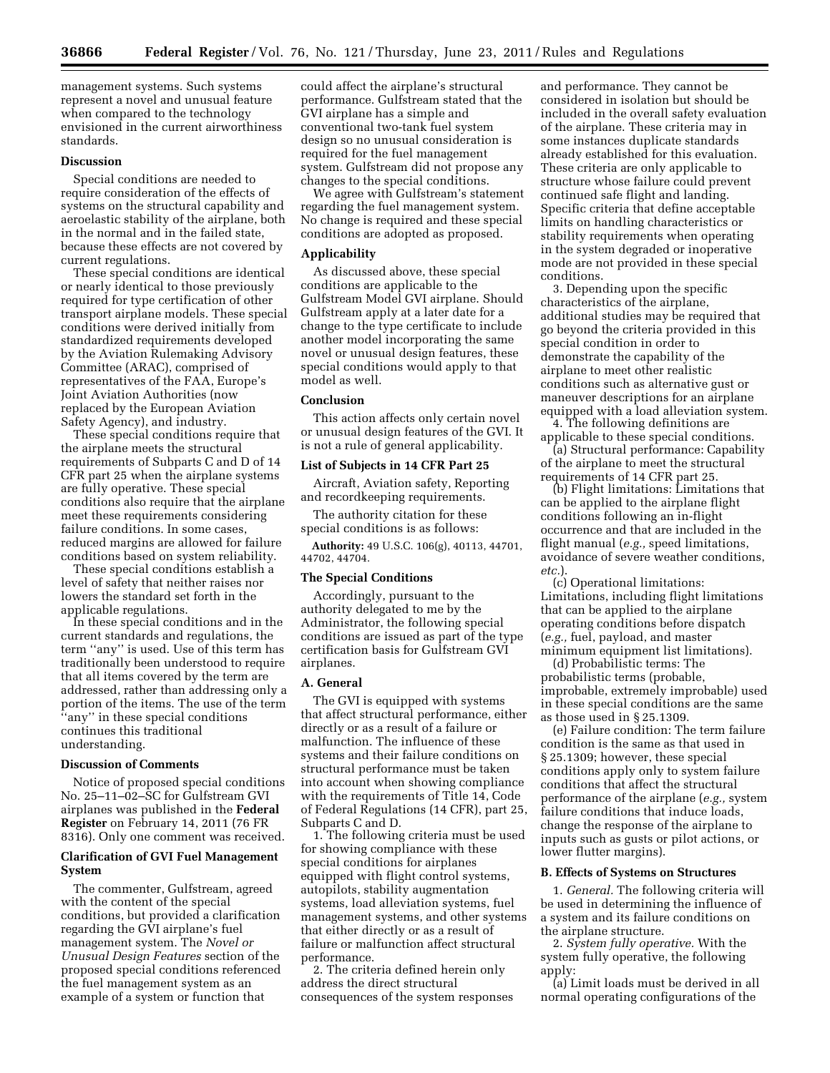management systems. Such systems represent a novel and unusual feature when compared to the technology envisioned in the current airworthiness standards.

## **Discussion**

Special conditions are needed to require consideration of the effects of systems on the structural capability and aeroelastic stability of the airplane, both in the normal and in the failed state, because these effects are not covered by current regulations.

These special conditions are identical or nearly identical to those previously required for type certification of other transport airplane models. These special conditions were derived initially from standardized requirements developed by the Aviation Rulemaking Advisory Committee (ARAC), comprised of representatives of the FAA, Europe's Joint Aviation Authorities (now replaced by the European Aviation Safety Agency), and industry.

These special conditions require that the airplane meets the structural requirements of Subparts C and D of 14 CFR part 25 when the airplane systems are fully operative. These special conditions also require that the airplane meet these requirements considering failure conditions. In some cases, reduced margins are allowed for failure conditions based on system reliability.

These special conditions establish a level of safety that neither raises nor lowers the standard set forth in the applicable regulations.

In these special conditions and in the current standards and regulations, the term ''any'' is used. Use of this term has traditionally been understood to require that all items covered by the term are addressed, rather than addressing only a portion of the items. The use of the term ''any'' in these special conditions continues this traditional understanding.

#### **Discussion of Comments**

Notice of proposed special conditions No. 25–11–02–SC for Gulfstream GVI airplanes was published in the **Federal Register** on February 14, 2011 (76 FR 8316). Only one comment was received.

## **Clarification of GVI Fuel Management System**

The commenter, Gulfstream, agreed with the content of the special conditions, but provided a clarification regarding the GVI airplane's fuel management system. The *Novel or Unusual Design Features* section of the proposed special conditions referenced the fuel management system as an example of a system or function that

could affect the airplane's structural performance. Gulfstream stated that the GVI airplane has a simple and conventional two-tank fuel system design so no unusual consideration is required for the fuel management system. Gulfstream did not propose any changes to the special conditions.

We agree with Gulfstream's statement regarding the fuel management system. No change is required and these special conditions are adopted as proposed.

## **Applicability**

As discussed above, these special conditions are applicable to the Gulfstream Model GVI airplane. Should Gulfstream apply at a later date for a change to the type certificate to include another model incorporating the same novel or unusual design features, these special conditions would apply to that model as well.

## **Conclusion**

This action affects only certain novel or unusual design features of the GVI. It is not a rule of general applicability.

#### **List of Subjects in 14 CFR Part 25**

Aircraft, Aviation safety, Reporting and recordkeeping requirements.

The authority citation for these special conditions is as follows:

**Authority:** 49 U.S.C. 106(g), 40113, 44701, 44702, 44704.

## **The Special Conditions**

Accordingly, pursuant to the authority delegated to me by the Administrator, the following special conditions are issued as part of the type certification basis for Gulfstream GVI airplanes.

### **A. General**

The GVI is equipped with systems that affect structural performance, either directly or as a result of a failure or malfunction. The influence of these systems and their failure conditions on structural performance must be taken into account when showing compliance with the requirements of Title 14, Code of Federal Regulations (14 CFR), part 25, Subparts C and D.

1. The following criteria must be used for showing compliance with these special conditions for airplanes equipped with flight control systems, autopilots, stability augmentation systems, load alleviation systems, fuel management systems, and other systems that either directly or as a result of failure or malfunction affect structural performance.

2. The criteria defined herein only address the direct structural consequences of the system responses and performance. They cannot be considered in isolation but should be included in the overall safety evaluation of the airplane. These criteria may in some instances duplicate standards already established for this evaluation. These criteria are only applicable to structure whose failure could prevent continued safe flight and landing. Specific criteria that define acceptable limits on handling characteristics or stability requirements when operating in the system degraded or inoperative mode are not provided in these special conditions.

3. Depending upon the specific characteristics of the airplane, additional studies may be required that go beyond the criteria provided in this special condition in order to demonstrate the capability of the airplane to meet other realistic conditions such as alternative gust or maneuver descriptions for an airplane equipped with a load alleviation system.

4. The following definitions are applicable to these special conditions.

(a) Structural performance: Capability of the airplane to meet the structural requirements of 14 CFR part 25.

(b) Flight limitations: Limitations that can be applied to the airplane flight conditions following an in-flight occurrence and that are included in the flight manual (*e.g.,* speed limitations, avoidance of severe weather conditions, *etc.*).

(c) Operational limitations: Limitations, including flight limitations that can be applied to the airplane operating conditions before dispatch (*e.g.,* fuel, payload, and master minimum equipment list limitations).

(d) Probabilistic terms: The probabilistic terms (probable, improbable, extremely improbable) used in these special conditions are the same as those used in § 25.1309.

(e) Failure condition: The term failure condition is the same as that used in § 25.1309; however, these special conditions apply only to system failure conditions that affect the structural performance of the airplane (*e.g.,* system failure conditions that induce loads, change the response of the airplane to inputs such as gusts or pilot actions, or lower flutter margins).

## **B. Effects of Systems on Structures**

1. *General.* The following criteria will be used in determining the influence of a system and its failure conditions on the airplane structure.

2. *System fully operative.* With the system fully operative, the following apply:

(a) Limit loads must be derived in all normal operating configurations of the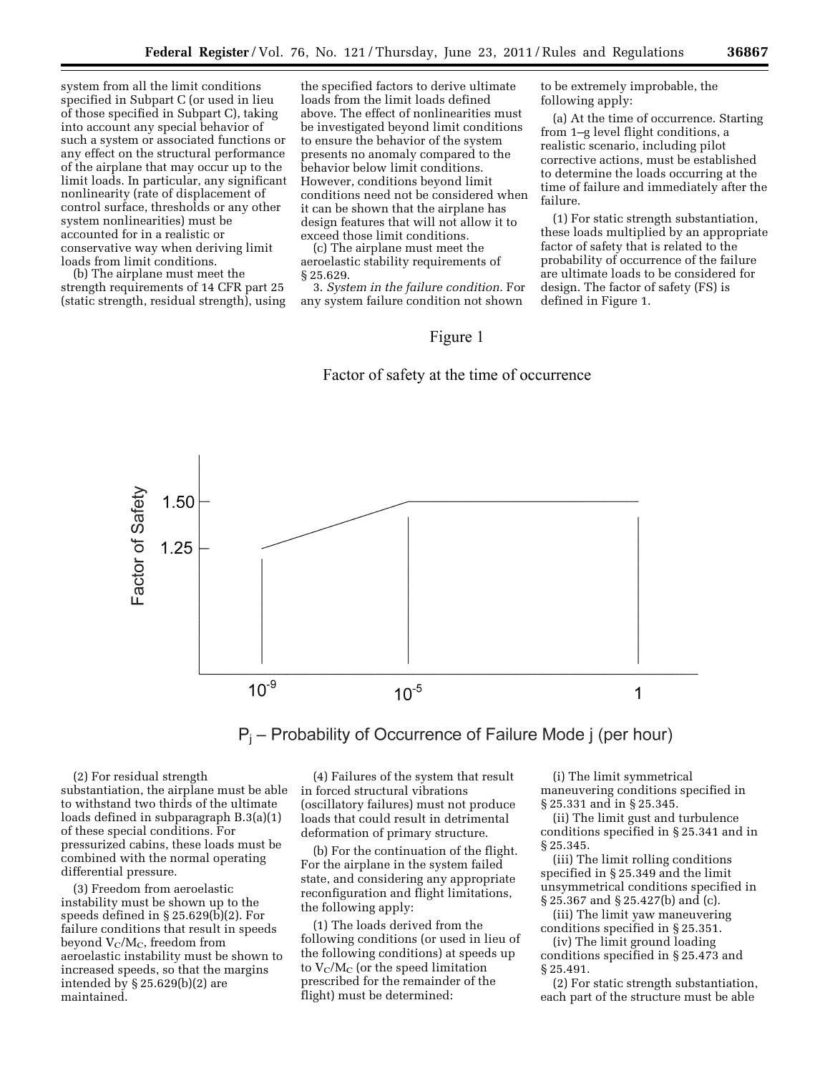system from all the limit conditions specified in Subpart C (or used in lieu of those specified in Subpart C), taking into account any special behavior of such a system or associated functions or any effect on the structural performance of the airplane that may occur up to the limit loads. In particular, any significant nonlinearity (rate of displacement of control surface, thresholds or any other system nonlinearities) must be accounted for in a realistic or conservative way when deriving limit loads from limit conditions.

(b) The airplane must meet the strength requirements of 14 CFR part 25 (static strength, residual strength), using

the specified factors to derive ultimate loads from the limit loads defined above. The effect of nonlinearities must be investigated beyond limit conditions to ensure the behavior of the system presents no anomaly compared to the behavior below limit conditions. However, conditions beyond limit conditions need not be considered when it can be shown that the airplane has design features that will not allow it to exceed those limit conditions.

(c) The airplane must meet the aeroelastic stability requirements of § 25.629.

3. *System in the failure condition.* For any system failure condition not shown

to be extremely improbable, the following apply:

(a) At the time of occurrence. Starting from 1–g level flight conditions, a realistic scenario, including pilot corrective actions, must be established to determine the loads occurring at the time of failure and immediately after the failure.

(1) For static strength substantiation, these loads multiplied by an appropriate factor of safety that is related to the probability of occurrence of the failure are ultimate loads to be considered for design. The factor of safety (FS) is defined in Figure 1.

# Figure 1

## Factor of safety at the time of occurrence





(2) For residual strength substantiation, the airplane must be able to withstand two thirds of the ultimate loads defined in subparagraph B.3(a)(1) of these special conditions. For pressurized cabins, these loads must be combined with the normal operating differential pressure.

(3) Freedom from aeroelastic instability must be shown up to the speeds defined in § 25.629(b)(2). For failure conditions that result in speeds beyond  $V_C/M_C$ , freedom from aeroelastic instability must be shown to increased speeds, so that the margins intended by § 25.629(b)(2) are maintained.

(4) Failures of the system that result in forced structural vibrations (oscillatory failures) must not produce loads that could result in detrimental deformation of primary structure.

(b) For the continuation of the flight. For the airplane in the system failed state, and considering any appropriate reconfiguration and flight limitations, the following apply:

(1) The loads derived from the following conditions (or used in lieu of the following conditions) at speeds up to  $V_C/M_C$  (or the speed limitation prescribed for the remainder of the flight) must be determined:

(i) The limit symmetrical maneuvering conditions specified in § 25.331 and in § 25.345.

(ii) The limit gust and turbulence conditions specified in § 25.341 and in § 25.345.

(iii) The limit rolling conditions specified in § 25.349 and the limit unsymmetrical conditions specified in § 25.367 and § 25.427(b) and (c).

(iii) The limit yaw maneuvering conditions specified in § 25.351.

(iv) The limit ground loading conditions specified in § 25.473 and § 25.491.

(2) For static strength substantiation, each part of the structure must be able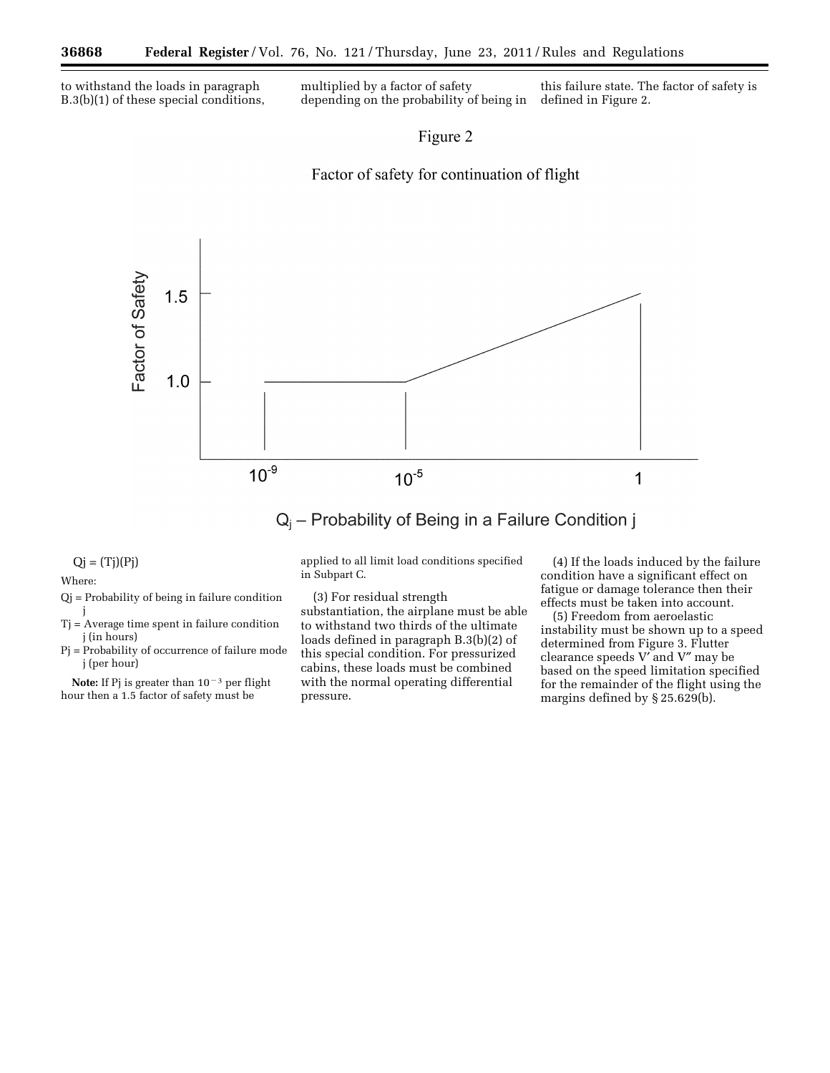to withstand the loads in paragraph B.3(b)(1) of these special conditions, multiplied by a factor of safety depending on the probability of being in

this failure state. The factor of safety is defined in Figure 2.

## Figure 2

# Factor of safety for continuation of flight



# $Q_i$  – Probability of Being in a Failure Condition j

 $Qj = (Tj)(Pj)$ 

Where:

- Qj = Probability of being in failure condition j
- Tj = Average time spent in failure condition j (in hours)
- Pj = Probability of occurrence of failure mode j (per hour)

**Note:** If Pj is greater than  $10^{-3}$  per flight hour then a 1.5 factor of safety must be

applied to all limit load conditions specified in Subpart C.

(3) For residual strength substantiation, the airplane must be able to withstand two thirds of the ultimate loads defined in paragraph B.3(b)(2) of this special condition. For pressurized cabins, these loads must be combined with the normal operating differential pressure.

(4) If the loads induced by the failure condition have a significant effect on fatigue or damage tolerance then their effects must be taken into account.

(5) Freedom from aeroelastic instability must be shown up to a speed determined from Figure 3. Flutter clearance speeds V′ and V″ may be based on the speed limitation specified for the remainder of the flight using the margins defined by § 25.629(b).